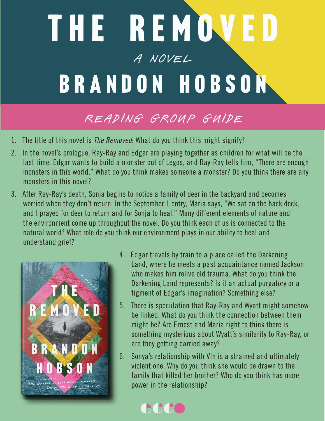## THE REMOVED A Novel A NOVEL BRANDON HOBSON

## READING GROUP GUIDE

- 1. The title of this novel is *The Removed*: What do you think this might signify?
- 2. In the novel's prologue, Ray-Ray and Edgar are playing together as children for what will be the last time. Edgar wants to build a monster out of Legos, and Ray-Ray tells him, "There are enough monsters in this world." What do you think makes someone a monster? Do you think there are any monsters in this novel?
- 3. After Ray-Ray's death, Sonja begins to notice a family of deer in the backyard and becomes worried when they don't return. In the September 1 entry, Maria says, "We sat on the back deck, and I prayed for deer to return and for Sonja to heal." Many different elements of nature and the environment come up throughout the novel. Do you think each of us is connected to the natural world? What role do you think our environment plays in our ability to heal and understand grief?



- 4. Edgar travels by train to a place called the Darkening Land, where he meets a past acquaintance named Jackson who makes him relive old trauma. What do you think the Darkening Land represents? Is it an actual purgatory or a figment of Edgar's imagination? Something else?
- 5. There is speculation that Ray-Ray and Wyatt might somehow be linked. What do you think the connection between them might be? Are Ernest and Maria right to think there is something mysterious about Wyatt's similarity to Ray-Ray, or are they getting carried away?
- 6. Sonya's relationship with Vin is a strained and ultimately violent one. Why do you think she would be drawn to the family that killed her brother? Who do you think has more power in the relationship?